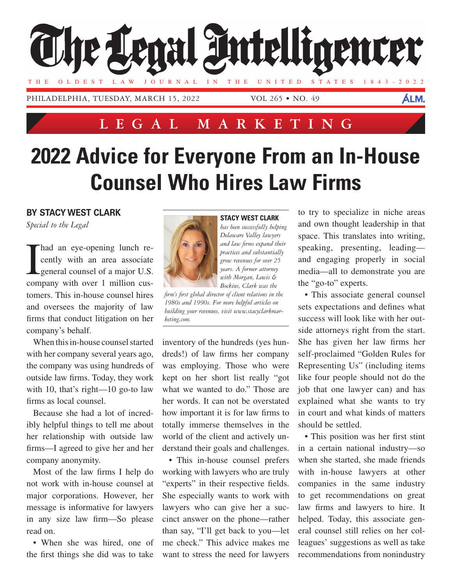

## **LEGAL MARKETING**

## **2022 Advice for Everyone From an In-House Counsel Who Hires Law Firms**

## **BY STACY WEST CLARK**

*Special to the Legal*

I had an eye-opening lunch re-<br>cently with an area associate<br>general counsel of a major U.S. cently with an area associate general counsel of a major U.S. company with over 1 million customers. This in-house counsel hires and oversees the majority of law firms that conduct litigation on her company's behalf.

When this in-house counsel started with her company several years ago, the company was using hundreds of outside law firms. Today, they work with 10, that's right—10 go-to law firms as local counsel.

Because she had a lot of incredibly helpful things to tell me about her relationship with outside law firms—I agreed to give her and her company anonymity.

Most of the law firms I help do not work with in-house counsel at major corporations. However, her message is informative for lawyers in any size law firm—So please read on.

• When she was hired, one of the first things she did was to take



**STACY WEST CLARK**

*has been successfully helping Delaware Valley lawyers and law firms expand their practices and substantially grow revenues for over 25 years. A former attorney with Morgan, Lewis & Bockius, Clark was the* 

*firm's first global director of client relations in the 1980s and 1990s. For more helpful articles on building your revenues, visit www.stacyclarkmarketing.com.*

inventory of the hundreds (yes hundreds!) of law firms her company was employing. Those who were kept on her short list really "got what we wanted to do." Those are her words. It can not be overstated how important it is for law firms to totally immerse themselves in the world of the client and actively understand their goals and challenges.

• This in-house counsel prefers working with lawyers who are truly "experts" in their respective fields. She especially wants to work with lawyers who can give her a succinct answer on the phone—rather than say, "I'll get back to you—let me check." This advice makes me want to stress the need for lawyers to try to specialize in niche areas and own thought leadership in that space. This translates into writing, speaking, presenting, leading and engaging properly in social media—all to demonstrate you are the "go-to" experts.

• This associate general counsel sets expectations and defines what success will look like with her outside attorneys right from the start. She has given her law firms her self-proclaimed "Golden Rules for Representing Us" (including items like four people should not do the job that one lawyer can) and has explained what she wants to try in court and what kinds of matters should be settled.

• This position was her first stint in a certain national industry—so when she started, she made friends with in-house lawyers at other companies in the same industry to get recommendations on great law firms and lawyers to hire. It helped. Today, this associate general counsel still relies on her colleagues' suggestions as well as take recommendations from nonindustry